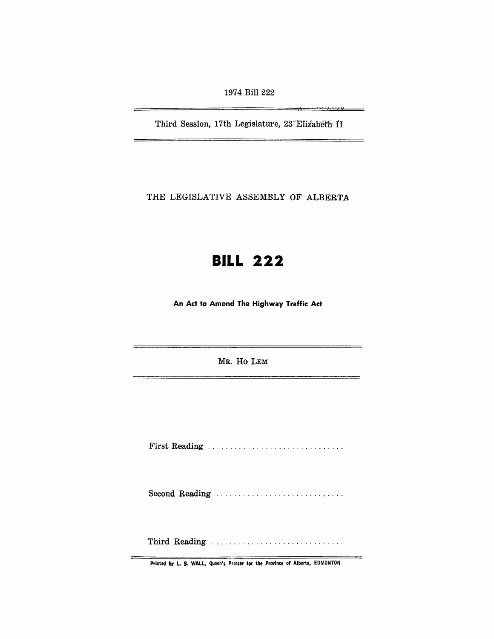1974 Bill 222

r \_ i 'b" 'f , ~, v

Third Session, 17th Legislature, 23 Elizabeth fl

THE LEGISLATIVE ASSEMBLY OF ALBERTA

# **BILL 222**

An Act to Amend The Highway Traffic Act

MR. Ho LEM

First Reading .............................. .

Second Reading ..............................

Third Reading ..................................

 $=$ 

Printed by L. S. WALL, Queen's Printer for the Province of Alberta, EDMONTON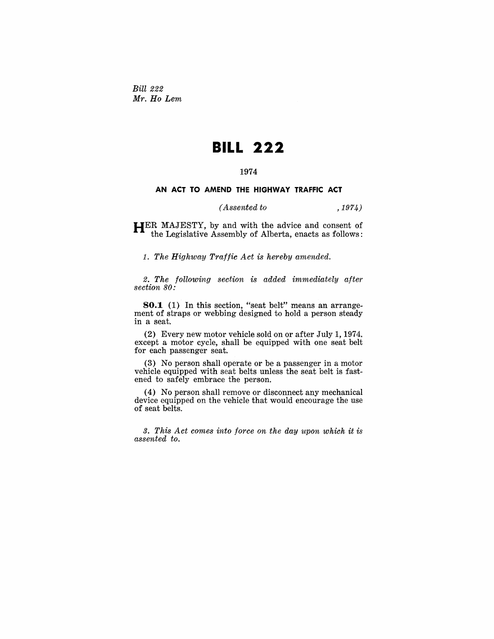*Bill 222*  Mr. *Ho Lem* 

# **BILL 222**

## 1974

### AN ACT TO AMEND THE HIGHWAY TRAFFIC ACT

### *( Assented to* ,1974)

HER MAJESTY, by and with the advice and consent of the Legislative Assembly of Alberta, enacts as follows:

1. *The Highway Traffic Act is hereby amended.* 

*2. The following section is added immediately after*   $section 80:$ 

**80.1** (1) In this section, "seat belt" means an arrangement of straps or webbing designed to hold a person steady in a seat.

(2) Every new motor vehicle sold on or after July 1, 1974. except a motor cycle, shall be equipped with one seat belt for each passenger seat.

(3) No person shall operate or be a passenger in a motor vehicle equipped with seat belts unless the seat belt is fastened to safely embrace the person.

( 4) No person shall remove or disconnect any mechanical device equipped on the vehicle that would encourage the use of seat belts.

*3. This Act comes into force on the day upon which it is assented to.*